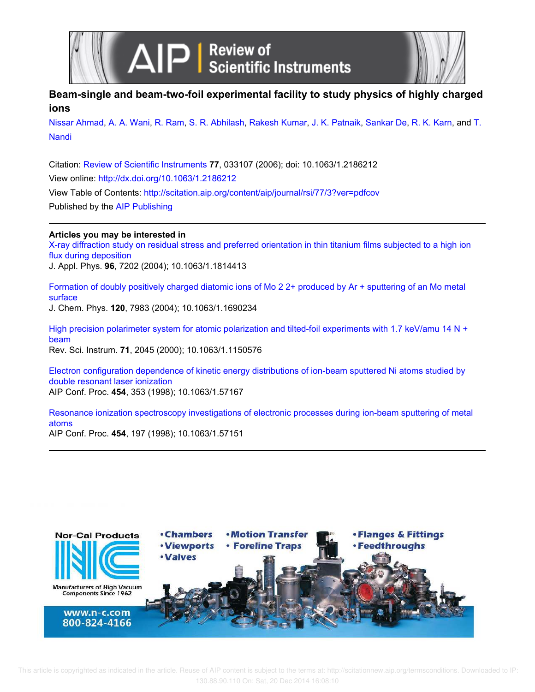



# **Beam-single and beam-two-foil experimental facility to study physics of highly charged ions**

Nissar Ahmad, A. A. Wani, R. Ram, S. R. Abhilash, Rakesh Kumar, J. K. Patnaik, Sankar De, R. K. Karn, and T. Nandi

Citation: Review of Scientific Instruments **77**, 033107 (2006); doi: 10.1063/1.2186212 View online: http://dx.doi.org/10.1063/1.2186212 View Table of Contents: http://scitation.aip.org/content/aip/journal/rsi/77/3?ver=pdfcov Published by the AIP Publishing

# **Articles you may be interested in**

X-ray diffraction study on residual stress and preferred orientation in thin titanium films subjected to a high ion flux during deposition

J. Appl. Phys. **96**, 7202 (2004); 10.1063/1.1814413

Formation of doubly positively charged diatomic ions of Mo 2 2+ produced by Ar + sputtering of an Mo metal surface

J. Chem. Phys. **120**, 7983 (2004); 10.1063/1.1690234

High precision polarimeter system for atomic polarization and tilted-foil experiments with 1.7 keV/amu 14 N + beam Rev. Sci. Instrum. **71**, 2045 (2000); 10.1063/1.1150576

Electron configuration dependence of kinetic energy distributions of ion-beam sputtered Ni atoms studied by double resonant laser ionization AIP Conf. Proc. **454**, 353 (1998); 10.1063/1.57167

Resonance ionization spectroscopy investigations of electronic processes during ion-beam sputtering of metal atoms AIP Conf. Proc. **454**, 197 (1998); 10.1063/1.57151

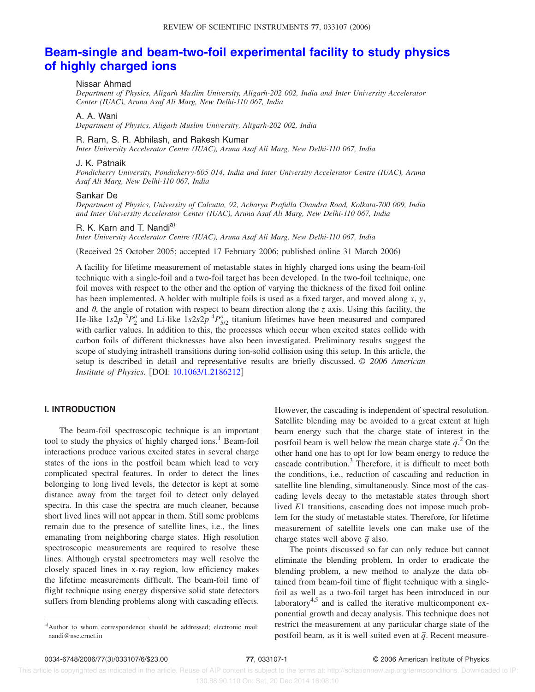# **Beam-single and beam-two-foil experimental facility to study physics of highly charged ions**

### Nissar Ahmad

*Department of Physics, Aligarh Muslim University, Aligarh-202 002, India and Inter University Accelerator Center (IUAC), Aruna Asaf Ali Marg, New Delhi-110 067, India*

#### A. A. Wani

*Department of Physics, Aligarh Muslim University, Aligarh-202 002, India*

#### R. Ram, S. R. Abhilash, and Rakesh Kumar

*Inter University Accelerator Centre (IUAC), Aruna Asaf Ali Marg, New Delhi-110 067, India*

### J. K. Patnaik

*Pondicherry University, Pondicherry-605 014, India and Inter University Accelerator Centre (IUAC), Aruna Asaf Ali Marg, New Delhi-110 067, India*

### Sankar De

*Department of Physics, University of Calcutta, 92, Acharya Prafulla Chandra Road, Kolkata-700 009, India and Inter University Accelerator Center (IUAC), Aruna Asaf Ali Marg, New Delhi-110 067, India*

#### R. K. Karn and T. Nandi<sup>a)</sup>

*Inter University Accelerator Centre (IUAC), Aruna Asaf Ali Marg, New Delhi-110 067, India*

(Received 25 October 2005; accepted 17 February 2006; published online 31 March 2006)

A facility for lifetime measurement of metastable states in highly charged ions using the beam-foil technique with a single-foil and a two-foil target has been developed. In the two-foil technique, one foil moves with respect to the other and the option of varying the thickness of the fixed foil online has been implemented. A holder with multiple foils is used as a fixed target, and moved along *x*, *y*, and  $\theta$ , the angle of rotation with respect to beam direction along the *z* axis. Using this facility, the He-like  $1s2p$ <sup>3</sup> $P_2^o$  and Li-like  $1s2s2p$ <sup>4</sup> $P_{5/2}^o$  titanium lifetimes have been measured and compared with earlier values. In addition to this, the processes which occur when excited states collide with carbon foils of different thicknesses have also been investigated. Preliminary results suggest the scope of studying intrashell transitions during ion-solid collision using this setup. In this article, the setup is described in detail and representative results are briefly discussed. *© 2006 American Institute of Physics.* [DOI: 10.1063/1.2186212]

# **I. INTRODUCTION**

The beam-foil spectroscopic technique is an important tool to study the physics of highly charged ions.<sup>1</sup> Beam-foil interactions produce various excited states in several charge states of the ions in the postfoil beam which lead to very complicated spectral features. In order to detect the lines belonging to long lived levels, the detector is kept at some distance away from the target foil to detect only delayed spectra. In this case the spectra are much cleaner, because short lived lines will not appear in them. Still some problems remain due to the presence of satellite lines, i.e., the lines emanating from neighboring charge states. High resolution spectroscopic measurements are required to resolve these lines. Although crystal spectrometers may well resolve the closely spaced lines in x-ray region, low efficiency makes the lifetime measurements difficult. The beam-foil time of flight technique using energy dispersive solid state detectors suffers from blending problems along with cascading effects.

However, the cascading is independent of spectral resolution. Satellite blending may be avoided to a great extent at high beam energy such that the charge state of interest in the postfoil beam is well below the mean charge state  $\bar{q}$ <sup>2</sup>. On the other hand one has to opt for low beam energy to reduce the cascade contribution.<sup>3</sup> Therefore, it is difficult to meet both the conditions, i.e., reduction of cascading and reduction in satellite line blending, simultaneously. Since most of the cascading levels decay to the metastable states through short lived *E*1 transitions, cascading does not impose much problem for the study of metastable states. Therefore, for lifetime measurement of satellite levels one can make use of the charge states well above  $\bar{q}$  also.

The points discussed so far can only reduce but cannot eliminate the blending problem. In order to eradicate the blending problem, a new method to analyze the data obtained from beam-foil time of flight technique with a singlefoil as well as a two-foil target has been introduced in our laboratory<sup>4,5</sup> and is called the iterative multicomponent exponential growth and decay analysis. This technique does not restrict the measurement at any particular charge state of the postfoil beam, as it is well suited even at  $\bar{q}$ . Recent measure-

a)Author to whom correspondence should be addressed; electronic mail: nandi@nsc.ernet.in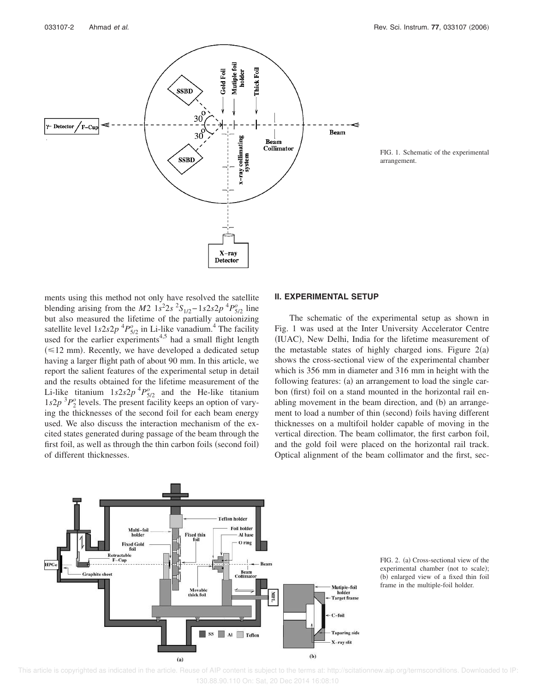

FIG. 1. Schematic of the experimental arrangement.

ments using this method not only have resolved the satellite blending arising from the *M*2  $1s^22s^2S_{1/2}-1s2s2p^4P_{5/2}^o$  line but also measured the lifetime of the partially autoionizing satellite level  $1s2s2p$ <sup>4</sup> $P_{5/2}^o$  in Li-like vanadium.<sup>4</sup> The facility used for the earlier experiments<sup>4,5</sup> had a small flight length  $(\leq 12$  mm). Recently, we have developed a dedicated setup having a larger flight path of about 90 mm. In this article, we report the salient features of the experimental setup in detail and the results obtained for the lifetime measurement of the Li-like titanium  $1s2s2p$ <sup>4</sup> $P^o_{5/2}$  and the He-like titanium  $1s2p$ <sup>3</sup> $P_2$ <sup>0</sup> levels. The present facility keeps an option of varying the thicknesses of the second foil for each beam energy used. We also discuss the interaction mechanism of the excited states generated during passage of the beam through the first foil, as well as through the thin carbon foils (second foil) of different thicknesses.

#### **II. EXPERIMENTAL SETUP**

The schematic of the experimental setup as shown in Fig. 1 was used at the Inter University Accelerator Centre (IUAC), New Delhi, India for the lifetime measurement of the metastable states of highly charged ions. Figure  $2(a)$ shows the cross-sectional view of the experimental chamber which is 356 mm in diameter and 316 mm in height with the following features: (a) an arrangement to load the single carbon (first) foil on a stand mounted in the horizontal rail enabling movement in the beam direction, and (b) an arrangement to load a number of thin (second) foils having different thicknesses on a multifoil holder capable of moving in the vertical direction. The beam collimator, the first carbon foil, and the gold foil were placed on the horizontal rail track. Optical alignment of the beam collimator and the first, sec-



FIG. 2. (a) Cross-sectional view of the experimental chamber (not to scale); (b) enlarged view of a fixed thin foil frame in the multiple-foil holder.

 This article is copyrighted as indicated in the article. Reuse of AIP content is subject to the terms at: http://scitationnew.aip.org/termsconditions. Downloaded to IP: 130.88.90.110 On: Sat, 20 Dec 2014 16:08:10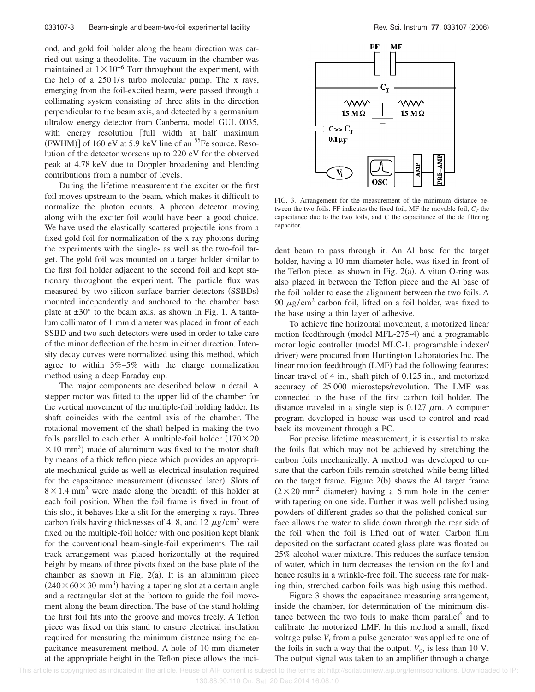ond, and gold foil holder along the beam direction was carried out using a theodolite. The vacuum in the chamber was maintained at  $1 \times 10^{-6}$  Torr throughout the experiment, with the help of a 250 l/s turbo molecular pump. The x rays, emerging from the foil-excited beam, were passed through a collimating system consisting of three slits in the direction perpendicular to the beam axis, and detected by a germanium ultralow energy detector from Canberra, model GUL 0035, with energy resolution [full width at half maximum  $(FWHM)$ ] of 160 eV at 5.9 keV line of an <sup>55</sup>Fe source. Resolution of the detector worsens up to 220 eV for the observed peak at 4.78 keV due to Doppler broadening and blending contributions from a number of levels.

During the lifetime measurement the exciter or the first foil moves upstream to the beam, which makes it difficult to normalize the photon counts. A photon detector moving along with the exciter foil would have been a good choice. We have used the elastically scattered projectile ions from a fixed gold foil for normalization of the x-ray photons during the experiments with the single- as well as the two-foil target. The gold foil was mounted on a target holder similar to the first foil holder adjacent to the second foil and kept stationary throughout the experiment. The particle flux was measured by two silicon surface barrier detectors (SSBDs) mounted independently and anchored to the chamber base plate at  $\pm 30^{\circ}$  to the beam axis, as shown in Fig. 1. A tantalum collimator of 1 mm diameter was placed in front of each SSBD and two such detectors were used in order to take care of the minor deflection of the beam in either direction. Intensity decay curves were normalized using this method, which agree to within 3%–5% with the charge normalization method using a deep Faraday cup.

The major components are described below in detail. A stepper motor was fitted to the upper lid of the chamber for the vertical movement of the multiple-foil holding ladder. Its shaft coincides with the central axis of the chamber. The rotational movement of the shaft helped in making the two foils parallel to each other. A multiple-foil holder  $(170 \times 20)$  $\times$  10 mm<sup>3</sup>) made of aluminum was fixed to the motor shaft by means of a thick teflon piece which provides an appropriate mechanical guide as well as electrical insulation required for the capacitance measurement (discussed later). Slots of  $8 \times 1.4$  mm<sup>2</sup> were made along the breadth of this holder at each foil position. When the foil frame is fixed in front of this slot, it behaves like a slit for the emerging x rays. Three carbon foils having thicknesses of 4, 8, and 12  $\mu$ g/cm<sup>2</sup> were fixed on the multiple-foil holder with one position kept blank for the conventional beam-single-foil experiments. The rail track arrangement was placed horizontally at the required height by means of three pivots fixed on the base plate of the chamber as shown in Fig.  $2(a)$ . It is an aluminum piece  $(240 \times 60 \times 30 \text{ mm}^3)$  having a tapering slot at a certain angle and a rectangular slot at the bottom to guide the foil movement along the beam direction. The base of the stand holding the first foil fits into the groove and moves freely. A Teflon piece was fixed on this stand to ensure electrical insulation required for measuring the minimum distance using the capacitance measurement method. A hole of 10 mm diameter at the appropriate height in the Teflon piece allows the inci-



FIG. 3. Arrangement for the measurement of the minimum distance between the two foils. FF indicates the fixed foil, MF the movable foil,  $C_T$  the capacitance due to the two foils, and *C* the capacitance of the dc filtering capacitor.

dent beam to pass through it. An Al base for the target holder, having a 10 mm diameter hole, was fixed in front of the Teflon piece, as shown in Fig.  $2(a)$ . A viton O-ring was also placed in between the Teflon piece and the Al base of the foil holder to ease the alignment between the two foils. A 90  $\mu$ g/cm<sup>2</sup> carbon foil, lifted on a foil holder, was fixed to the base using a thin layer of adhesive.

To achieve fine horizontal movement, a motorized linear motion feedthrough (model MFL-275-4) and a programable motor logic controller (model MLC-1, programable indexer/ driver) were procured from Huntington Laboratories Inc. The linear motion feedthrough (LMF) had the following features: linear travel of 4 in., shaft pitch of 0.125 in., and motorized accuracy of 25 000 microsteps/revolution. The LMF was connected to the base of the first carbon foil holder. The distance traveled in a single step is  $0.127 \mu m$ . A computer program developed in house was used to control and read back its movement through a PC.

For precise lifetime measurement, it is essential to make the foils flat which may not be achieved by stretching the carbon foils mechanically. A method was developed to ensure that the carbon foils remain stretched while being lifted on the target frame. Figure  $2(b)$  shows the Al target frame  $(2 \times 20 \text{ mm}^2 \text{ diameter})$  having a 6 mm hole in the center with tapering on one side. Further it was well polished using powders of different grades so that the polished conical surface allows the water to slide down through the rear side of the foil when the foil is lifted out of water. Carbon film deposited on the surfactant coated glass plate was floated on 25% alcohol-water mixture. This reduces the surface tension of water, which in turn decreases the tension on the foil and hence results in a wrinkle-free foil. The success rate for making thin, stretched carbon foils was high using this method.

Figure 3 shows the capacitance measuring arrangement, inside the chamber, for determination of the minimum distance between the two foils to make them parallel $<sup>6</sup>$  and to</sup> calibrate the motorized LMF. In this method a small, fixed voltage pulse  $V_i$  from a pulse generator was applied to one of the foils in such a way that the output,  $V_0$ , is less than 10 V. The output signal was taken to an amplifier through a charge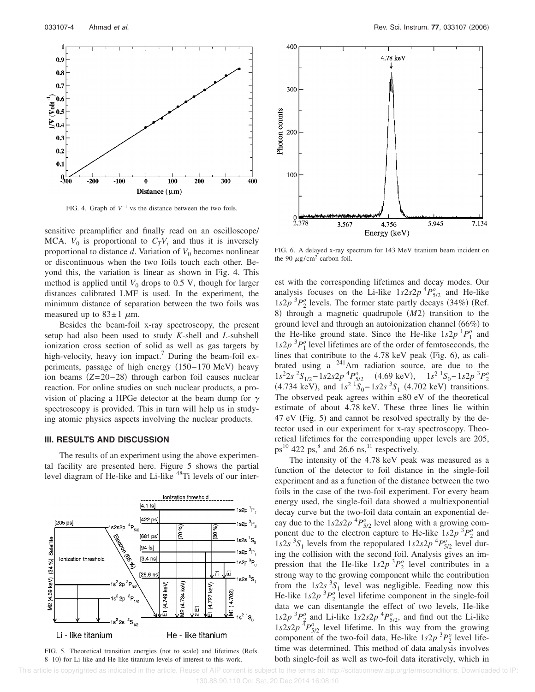

FIG. 4. Graph of  $V^{-1}$  vs the distance between the two foils.

sensitive preamplifier and finally read on an oscilloscope/ MCA.  $V_0$  is proportional to  $C_T V_i$  and thus it is inversely proportional to distance  $d$ . Variation of  $V_0$  becomes nonlinear or discontinuous when the two foils touch each other. Beyond this, the variation is linear as shown in Fig. 4. This method is applied until  $V_0$  drops to 0.5 V, though for larger distances calibrated LMF is used. In the experiment, the minimum distance of separation between the two foils was measured up to  $83 \pm 1$   $\mu$ m.

Besides the beam-foil x-ray spectroscopy, the present setup had also been used to study *K*-shell and *L*-subshell ionization cross section of solid as well as gas targets by high-velocity, heavy ion impact.<sup>7</sup> During the beam-foil experiments, passage of high energy (150-170 MeV) heavy ion beams  $(Z=20-28)$  through carbon foil causes nuclear reaction. For online studies on such nuclear products, a provision of placing a HPGe detector at the beam dump for  $\gamma$ spectroscopy is provided. This in turn will help us in studying atomic physics aspects involving the nuclear products.

## **III. RESULTS AND DISCUSSION**

The results of an experiment using the above experimental facility are presented here. Figure 5 shows the partial level diagram of He-like and Li-like <sup>48</sup>Ti levels of our inter-



FIG. 5. Theoretical transition energies (not to scale) and lifetimes (Refs. 8–10) for Li-like and He-like titanium levels of interest to this work.



FIG. 6. A delayed x-ray spectrum for 143 MeV titanium beam incident on the 90  $\mu$ g/cm<sup>2</sup> carbon foil.

est with the corresponding lifetimes and decay modes. Our analysis focuses on the Li-like  $1s2s2p$ <sup>4</sup> $P_{5/2}^o$  and He-like  $1s2p$ <sup>3</sup> $P_2$ <sup>0</sup> levels. The former state partly decays (34%) (Ref. 8) through a magnetic quadrupole (M2) transition to the ground level and through an autoionization channel (66%) to the He-like ground state. Since the He-like  $1s2p^{1}P_1^{\circ}$  and  $1s2p<sup>3</sup>P<sub>1</sub><sup>0</sup>$  level lifetimes are of the order of femtoseconds, the lines that contribute to the  $4.78$  keV peak (Fig. 6), as calibrated using a  $^{241}$ Am radiation source, are due to the  $1s^2 2s^2 S_{1/2} - 1s2s2p^4 P_{5/2}^o$  (4.69 keV),  $1s^2 {}^1S_0 - 1s2p^3 P_2^o$  $(4.734 \text{ keV})$ , and  $1s^2 \frac{1}{5} - 1s^2s^3 S_1$   $(4.702 \text{ keV})$  transitions. The observed peak agrees within  $\pm 80$  eV of the theoretical estimate of about 4.78 keV. These three lines lie within 47 eV (Fig. 5) and cannot be resolved spectrally by the detector used in our experiment for x-ray spectroscopy. Theoretical lifetimes for the corresponding upper levels are 205,  $ps^{10}$  422 ps,<sup>8</sup> and 26.6 ns,<sup>11</sup> respectively.

The intensity of the 4.78 keV peak was measured as a function of the detector to foil distance in the single-foil experiment and as a function of the distance between the two foils in the case of the two-foil experiment. For every beam energy used, the single-foil data showed a multiexponential decay curve but the two-foil data contain an exponential decay due to the  $1s2s2p$ <sup>4</sup> $P_{5/2}^o$  level along with a growing component due to the electron capture to He-like  $1s2p<sup>3</sup>P<sub>2</sub><sup>o</sup>$  and  $1s2s<sup>3</sup>S<sub>1</sub>$  levels from the repopulated  $1s2s2p<sup>4</sup>P<sub>5/2</sub><sup>6</sup>$  level during the collision with the second foil. Analysis gives an impression that the He-like  $1s2p^3P_2^o$  level contributes in a strong way to the growing component while the contribution from the  $1s2s<sup>3</sup>S<sub>1</sub>$  level was negligible. Feeding now this He-like  $1s2p$ <sup>3</sup> $P_2$ <sup>0</sup> level lifetime component in the single-foil data we can disentangle the effect of two levels, He-like  $1s2p$ <sup>3</sup> $P_2^o$  and Li-like  $1s2s2p$ <sup>4</sup> $P_{5/2}^o$ , and find out the Li-like  $1s2s2p$ <sup>T</sup> $P_{5/2}^o$  level lifetime. In this way from the growing component of the two-foil data, He-like  $1s2p$ <sup>3</sup> $P_2$ <sup>0</sup> level lifetime was determined. This method of data analysis involves both single-foil as well as two-foil data iteratively, which in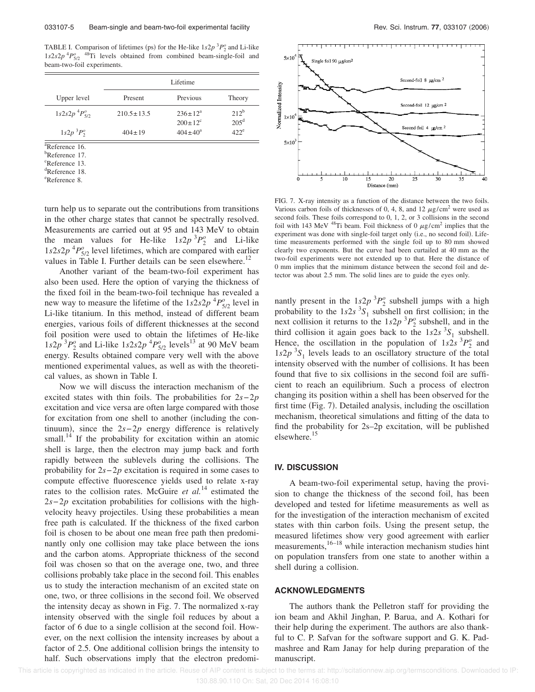TABLE I. Comparison of lifetimes (ps) for the He-like  $1s2p<sup>3</sup>P<sub>2</sub><sup>o</sup>$  and Li-like  $1s2s2p$ <sup>4</sup> $P_{5/2}^{o}$ <sup>48</sup>Ti levels obtained from combined beam-single-foil and beam-two-foil experiments.

|                      | Lifetime         |                                        |                          |
|----------------------|------------------|----------------------------------------|--------------------------|
| Upper level          | Present          | Previous                               | Theory                   |
| $1s2s2p~^4P_{5/2}^o$ | $210.5 \pm 13.5$ | $236 \pm 12^a$<br>$200 \pm 12^{\circ}$ | $212^b$<br>$205^{\rm d}$ |
| $1s2p~^3P_2^o$       | $404 \pm 19$     | $404 \pm 40^a$                         | $422^e$                  |

<sup>a</sup>Reference 16. b<sub>Reference</sub> 17.

<sup>c</sup>Reference 13.

<sup>d</sup>Reference 18.

<sup>e</sup>Reference 8.

turn help us to separate out the contributions from transitions in the other charge states that cannot be spectrally resolved. Measurements are carried out at 95 and 143 MeV to obtain the mean values for He-like  $1s2p^3P_2^o$  and Li-like  $1s2s2p$ <sup>4</sup> $P_{5/2}^o$  level lifetimes, which are compared with earlier values in Table I. Further details can be seen elsewhere.<sup>12</sup>

Another variant of the beam-two-foil experiment has also been used. Here the option of varying the thickness of the fixed foil in the beam-two-foil technique has revealed a new way to measure the lifetime of the  $1s2s2p$ <sup>4</sup> $P_{5/2}^o$  level in Li-like titanium. In this method, instead of different beam energies, various foils of different thicknesses at the second foil position were used to obtain the lifetimes of He-like  $1s2p$ <sup>3</sup> $P_2^o$  and Li-like  $1s2s2p$ <sup>4</sup> $P_{5/2}^o$  levels<sup>13</sup> at 90 MeV beam energy. Results obtained compare very well with the above mentioned experimental values, as well as with the theoretical values, as shown in Table I.

Now we will discuss the interaction mechanism of the excited states with thin foils. The probabilities for 2*s*−2*p* excitation and vice versa are often large compared with those for excitation from one shell to another (including the continuum), since the  $2s-2p$  energy difference is relatively small.<sup>14</sup> If the probability for excitation within an atomic shell is large, then the electron may jump back and forth rapidly between the sublevels during the collisions. The probability for 2*s*−2*p* excitation is required in some cases to compute effective fluorescence yields used to relate x-ray rates to the collision rates. McGuire *et al.*<sup>14</sup> estimated the 2*s*−2*p* excitation probabilities for collisions with the highvelocity heavy projectiles. Using these probabilities a mean free path is calculated. If the thickness of the fixed carbon foil is chosen to be about one mean free path then predominantly only one collision may take place between the ions and the carbon atoms. Appropriate thickness of the second foil was chosen so that on the average one, two, and three collisions probably take place in the second foil. This enables us to study the interaction mechanism of an excited state on one, two, or three collisions in the second foil. We observed the intensity decay as shown in Fig. 7. The normalized x-ray intensity observed with the single foil reduces by about a factor of 6 due to a single collision at the second foil. However, on the next collision the intensity increases by about a factor of 2.5. One additional collision brings the intensity to half. Such observations imply that the electron predomi-



FIG. 7. X-ray intensity as a function of the distance between the two foils. Various carbon foils of thicknesses of 0, 4, 8, and 12  $\mu$ g/cm<sup>2</sup> were used as second foils. These foils correspond to 0, 1, 2, or 3 collisions in the second foil with 143 MeV <sup>48</sup>Ti beam. Foil thickness of 0  $\mu$ g/cm<sup>2</sup> implies that the experiment was done with single-foil target only (i.e., no second foil). Lifetime measurements performed with the single foil up to 80 mm showed clearly two exponents. But the curve had been curtailed at 40 mm as the two-foil experiments were not extended up to that. Here the distance of 0 mm implies that the minimum distance between the second foil and detector was about 2.5 mm. The solid lines are to guide the eyes only.

nantly present in the  $1s^2p^3P_2^o$  subshell jumps with a high probability to the  $1s2s<sup>3</sup>S<sub>1</sub>$  subshell on first collision; in the next collision it returns to the  $1s2p$ <sup>3</sup> $P_2^o$  subshell, and in the third collision it again goes back to the  $1s2s<sup>3</sup>S<sub>1</sub>$  subshell. Hence, the oscillation in the population of  $1s2s<sup>3</sup>P<sub>2</sub><sup>o</sup>$  and  $1s2p$ <sup>3</sup>S<sub>1</sub> levels leads to an oscillatory structure of the total intensity observed with the number of collisions. It has been found that five to six collisions in the second foil are sufficient to reach an equilibrium. Such a process of electron changing its position within a shell has been observed for the first time (Fig. 7). Detailed analysis, including the oscillation mechanism, theoretical simulations and fitting of the data to find the probability for 2s–2p excitation, will be published elsewhere.<sup>15</sup>

#### **IV. DISCUSSION**

A beam-two-foil experimental setup, having the provision to change the thickness of the second foil, has been developed and tested for lifetime measurements as well as for the investigation of the interaction mechanism of excited states with thin carbon foils. Using the present setup, the measured lifetimes show very good agreement with earlier measurements,<sup>16–18</sup> while interaction mechanism studies hint on population transfers from one state to another within a shell during a collision.

## **ACKNOWLEDGMENTS**

The authors thank the Pelletron staff for providing the ion beam and Akhil Jinghan, P. Barua, and A. Kothari for their help during the experiment. The authors are also thankful to C. P. Safvan for the software support and G. K. Padmashree and Ram Janay for help during preparation of the manuscript.